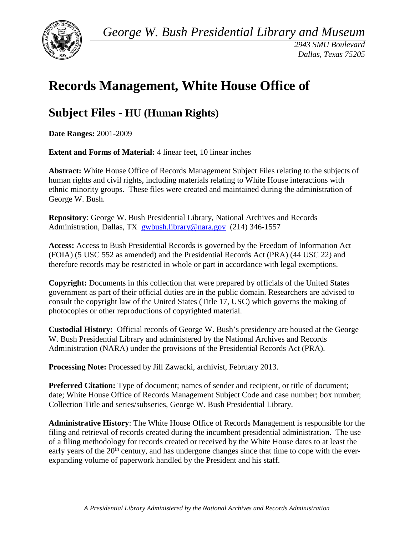*George W. Bush Presidential Library and Museum* 



*2943 SMU Boulevard Dallas, Texas 75205* 

# **Records Management, White House Office of**

# **Subject Files - HU (Human Rights)**

**Date Ranges:** 2001-2009

**Extent and Forms of Material:** 4 linear feet, 10 linear inches

 human rights and civil rights, including materials relating to White House interactions with ethnic minority groups. These files were created and maintained during the administration of **Abstract:** White House Office of Records Management Subject Files relating to the subjects of George W. Bush.

 **Repository**: George W. Bush Presidential Library, National Archives and Records Administration, Dallas, TX [gwbush.library@nara.gov](mailto:gwbush.library@nara.gov) (214) 346-1557

 **Access:** Access to Bush Presidential Records is governed by the Freedom of Information Act (FOIA) (5 USC 552 as amended) and the Presidential Records Act (PRA) (44 USC 22) and therefore records may be restricted in whole or part in accordance with legal exemptions.

**Copyright:** Documents in this collection that were prepared by officials of the United States government as part of their official duties are in the public domain. Researchers are advised to consult the copyright law of the United States (Title 17, USC) which governs the making of photocopies or other reproductions of copyrighted material.

 **Custodial History:** Official records of George W. Bush's presidency are housed at the George Administration (NARA) under the provisions of the Presidential Records Act (PRA). W. Bush Presidential Library and administered by the National Archives and Records

**Processing Note:** Processed by Jill Zawacki, archivist, February 2013.

**Preferred Citation:** Type of document; names of sender and recipient, or title of document; date; White House Office of Records Management Subject Code and case number; box number; Collection Title and series/subseries, George W. Bush Presidential Library.

**Administrative History**: The White House Office of Records Management is responsible for the filing and retrieval of records created during the incumbent presidential administration. The use of a filing methodology for records created or received by the White House dates to at least the early years of the  $20<sup>th</sup>$  century, and has undergone changes since that time to cope with the everexpanding volume of paperwork handled by the President and his staff.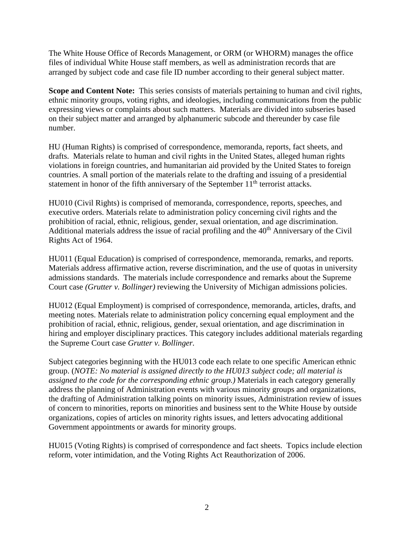arranged by subject code and case file ID number according to their general subject matter. The White House Office of Records Management, or ORM (or WHORM) manages the office files of individual White House staff members, as well as administration records that are

 expressing views or complaints about such matters. Materials are divided into subseries based **Scope and Content Note:** This series consists of materials pertaining to human and civil rights, ethnic minority groups, voting rights, and ideologies, including communications from the public on their subject matter and arranged by alphanumeric subcode and thereunder by case file number.

HU (Human Rights) is comprised of correspondence, memoranda, reports, fact sheets, and drafts. Materials relate to human and civil rights in the United States, alleged human rights violations in foreign countries, and humanitarian aid provided by the United States to foreign countries. A small portion of the materials relate to the drafting and issuing of a presidential statement in honor of the fifth anniversary of the September  $11<sup>th</sup>$  terrorist attacks.

HU010 (Civil Rights) is comprised of memoranda, correspondence, reports, speeches, and executive orders. Materials relate to administration policy concerning civil rights and the prohibition of racial, ethnic, religious, gender, sexual orientation, and age discrimination. Additional materials address the issue of racial profiling and the 40<sup>th</sup> Anniversary of the Civil Rights Act of 1964.

 admissions standards. The materials include correspondence and remarks about the Supreme HU011 (Equal Education) is comprised of correspondence, memoranda, remarks, and reports. Materials address affirmative action, reverse discrimination, and the use of quotas in university Court case *(Grutter v. Bollinger)* reviewing the University of Michigan admissions policies.

HU012 (Equal Employment) is comprised of correspondence, memoranda, articles, drafts, and meeting notes. Materials relate to administration policy concerning equal employment and the prohibition of racial, ethnic, religious, gender, sexual orientation, and age discrimination in hiring and employer disciplinary practices. This category includes additional materials regarding the Supreme Court case *Grutter v. Bollinger.* 

 *assigned to the code for the corresponding ethnic group.)* Materials in each category generally Government appointments or awards for minority groups. Subject categories beginning with the HU013 code each relate to one specific American ethnic group. (*NOTE: No material is assigned directly to the HU013 subject code; all material is*  address the planning of Administration events with various minority groups and organizations, the drafting of Administration talking points on minority issues, Administration review of issues of concern to minorities, reports on minorities and business sent to the White House by outside organizations, copies of articles on minority rights issues, and letters advocating additional

HU015 (Voting Rights) is comprised of correspondence and fact sheets. Topics include election reform, voter intimidation, and the Voting Rights Act Reauthorization of 2006.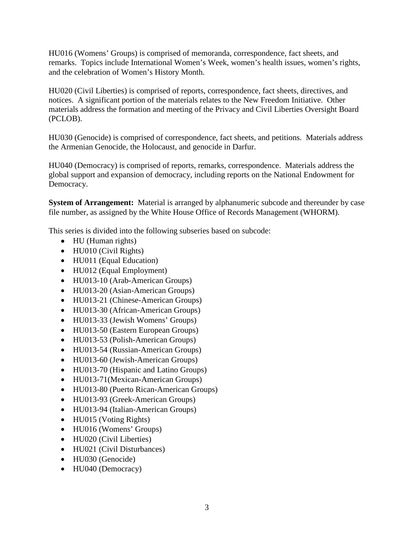HU016 (Womens' Groups) is comprised of memoranda, correspondence, fact sheets, and remarks. Topics include International Women's Week, women's health issues, women's rights, and the celebration of Women's History Month.

HU020 (Civil Liberties) is comprised of reports, correspondence, fact sheets, directives, and notices. A significant portion of the materials relates to the New Freedom Initiative. Other materials address the formation and meeting of the Privacy and Civil Liberties Oversight Board (PCLOB).

HU030 (Genocide) is comprised of correspondence, fact sheets, and petitions. Materials address the Armenian Genocide, the Holocaust, and genocide in Darfur.

 global support and expansion of democracy, including reports on the National Endowment for HU040 (Democracy) is comprised of reports, remarks, correspondence. Materials address the Democracy.

**System of Arrangement:** Material is arranged by alphanumeric subcode and thereunder by case file number, as assigned by the White House Office of Records Management (WHORM).

This series is divided into the following subseries based on subcode:

- HU (Human rights)
- HU010 (Civil Rights)
- HU011 (Equal Education)
- HU012 (Equal Employment)
- HU013-10 (Arab-American Groups)
- HU013-20 (Asian-American Groups)
- HU013-21 (Chinese-American Groups)
- HU013-30 (African-American Groups)
- HU013-33 (Jewish Womens' Groups)
- HU013-50 (Eastern European Groups)
- HU013-53 (Polish-American Groups)
- HU013-54 (Russian-American Groups)
- HU013-60 (Jewish-American Groups)
- HU013-70 (Hispanic and Latino Groups)
- HU013-71(Mexican-American Groups)
- HU013-80 (Puerto Rican-American Groups)
- HU013-93 (Greek-American Groups)
- HU013-94 (Italian-American Groups)
- HU015 (Voting Rights)
- HU016 (Womens' Groups)
- HU020 (Civil Liberties)
- HU021 (Civil Disturbances)
- HU030 (Genocide)
- HU040 (Democracy) • HU040 (Democracy) 3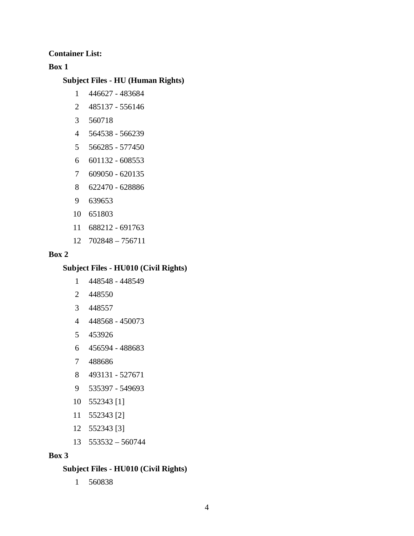**Container List:** 

# **Box 1**

# **Subject Files - HU (Human Rights)**

- 1 446627 483684
- 2 485137 556146
- 3 560718
- 4 564538 566239
- 5 566285 577450
- 6 601132 608553
- 7 609050 620135
- 8 622470 628886
- 9 639653
- 10 651803
- 11 688212 691763
- 12 702848 756711

# **Box 2**

# **Subject Files - HU010 (Civil Rights)**

- 1 448548 448549
- 2 448550
- 3 448557
- 4 448568 450073
- 5 453926
- 6 456594 488683
- 7 488686
- 8 493131 527671
- 9 535397 549693
- 10 552343 [1]
- 11 552343 [2]
- 12 552343 [3]
- 13 553532 560744

#### **Box 3**

# **Subject Files - HU010 (Civil Rights)**

1 560838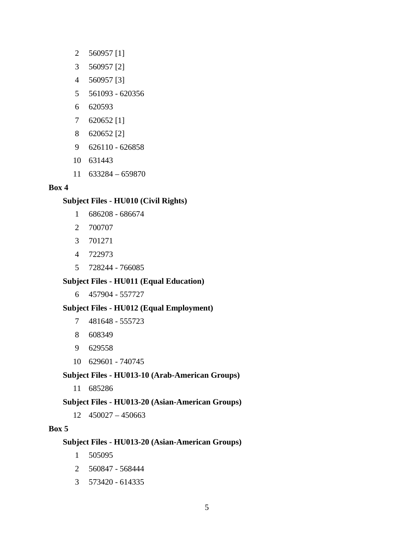- 2 560957 [1]
- 3 560957 [2]
- 4 560957 [3]
- 5 561093 620356
- 6 620593
- 7 620652 [1]
- 8 620652 [2]
- 9 626110 626858
- 10 631443
- 11 633284 659870

# **Box 4**

# **Subject Files - HU010 (Civil Rights)**

- 1 686208 686674
- 2 700707
- 3 701271
- 4 722973
- 5 728244 766085

# **Subject Files - HU011 (Equal Education)**

6 457904 - 557727

# **Subject Files - HU012 (Equal Employment)**

- 7 481648 555723
- 8 608349
- 9 629558
- 10 629601 740745

# **Subject Files - HU013-10 (Arab-American Groups)**

11 685286

# **Subject Files - HU013-20 (Asian-American Groups)**

12 450027 – 450663

# **Box 5**

# **Subject Files - HU013-20 (Asian-American Groups)**

- 1 505095
- 560847 568444 2
- 3 573420 614335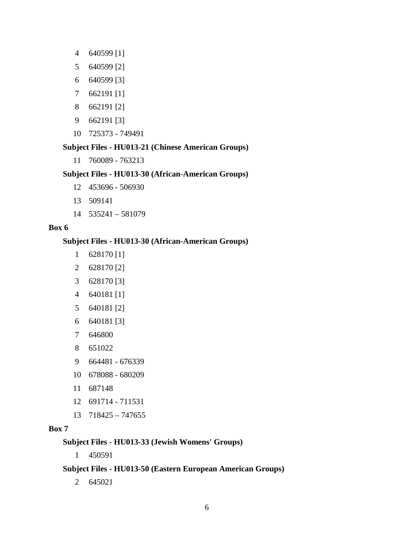- 4 640599 [1]
- 5 640599 [2]
- 6 640599 [3]
- 7 662191 [1]
- 8 662191 [2]
- 9 662191 [3]
- 10 725373 749491

### **Subject Files - HU013-21 (Chinese American Groups)**

11 760089 - 763213

#### **Subject Files - HU013-30 (African-American Groups)**

- 12 453696 506930
- 13 509141
- 14 535241 581079

#### **Box 6**

#### **Subject Files - HU013-30 (African-American Groups)**

- 1 628170 [1]
- 2 628170 [2]
- 3 628170 [3]
- 4 640181 [1]
- 5 640181 [2]
- 6 640181 [3]
- 7 646800
- 8 651022
- 9 664481 676339
- 10 678088 680209
- 11 687148
- 12 691714 711531
- 13 718425 747655

# **Box 7**

#### **Subject Files - HU013-33 (Jewish Womens' Groups)**

1 450591

# **Subject Files - HU013-50 (Eastern European American Groups)**

2 645021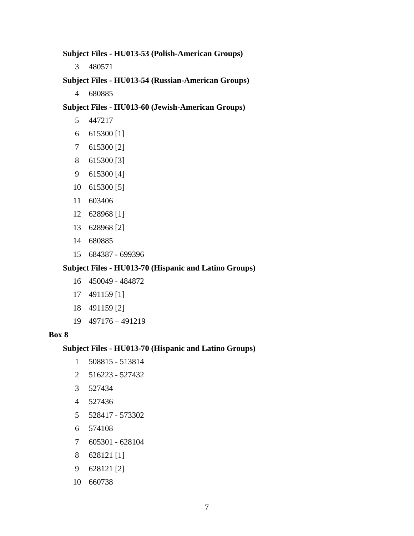**Subject Files - HU013-53 (Polish-American Groups)** 

3 480571

**Subject Files - HU013-54 (Russian-American Groups)** 

4 680885

**Subject Files - HU013-60 (Jewish-American Groups)** 

- 5 447217
- 6 615300 [1]
- 7 615300 [2]
- 8 615300 [3]
- 9 615300 [4]
- 10 615300 [5]
- 11 603406
- 12 628968 [1]
- 13 628968 [2]
- 14 680885
- 15 684387 699396

#### **Subject Files - HU013-70 (Hispanic and Latino Groups)**

- 16 450049 484872
- 17 491159 [1]
- 18 491159 [2]
- 19 497176 491219

#### **Box 8**

#### **Subject Files - HU013-70 (Hispanic and Latino Groups)**

- 1 508815 513814
- 2 516223 527432
- 3 527434
- 4 527436
- 5 528417 573302
- 6 574108
- 7 605301 628104
- 8 628121 [1]
- 9 628121 [2]
- 10 660738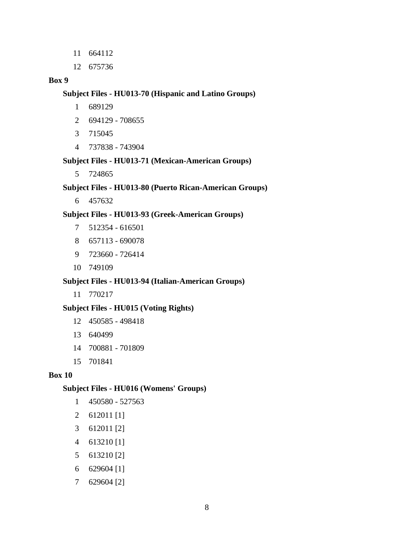- 11 664112
- 12 675736

#### **Box 9**

#### **Subject Files - HU013-70 (Hispanic and Latino Groups)**

- 1 689129
- 2 694129 708655
- 3 715045
- 4 737838 743904

# **Subject Files - HU013-71 (Mexican-American Groups)**

5 724865

# **Subject Files - HU013-80 (Puerto Rican-American Groups)**

6 457632

#### **Subject Files - HU013-93 (Greek-American Groups)**

- 7 512354 616501
- 8 657113 690078
- 9 723660 726414
- 10 749109

#### **Subject Files - HU013-94 (Italian-American Groups)**

11 770217

#### **Subject Files - HU015 (Voting Rights)**

- 12 450585 498418
- 13 640499
- 14 700881 701809
- 15 701841

#### **Box 10**

#### **Subject Files - HU016 (Womens' Groups)**

- 1 450580 527563
- 2 612011 [1]
- 3 612011 [2]
- 4 613210 [1]
- 5 613210 [2]
- 6 629604 [1]
- 7 629604 [2]